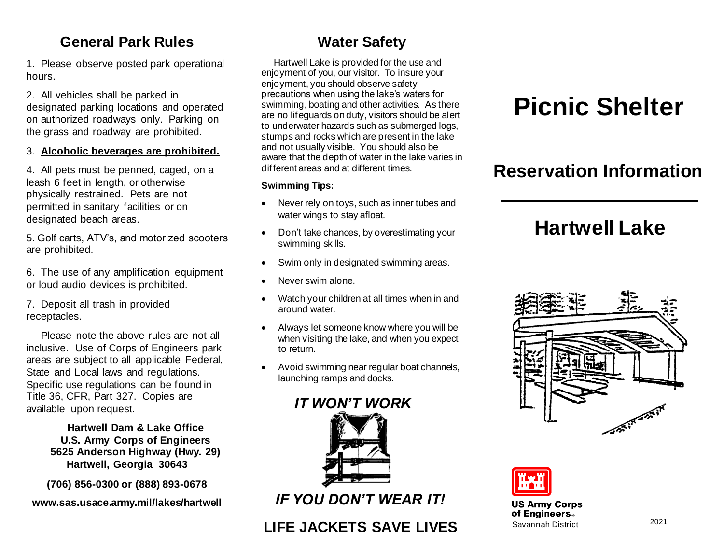### **General Park Rules**

1. Please observe posted park operational hours.

2. All vehicles shall be parked in designated parking locations and operated on authorized roadways only. Parking on the grass and roadway are prohibited.

3. **Alcoholic beverages are prohibited.**

4. All pets must be penned, caged, on a leash 6 feet in length, or otherwise physically restrained. Pets are not permitted in sanitary facilities or on designated beach areas.

5. Golf carts, ATV's, and motorized scooters are prohibited.

6. The use of any amplification equipment or loud audio devices is prohibited.

7. Deposit all trash in provided receptacles.

 Please note the above rules are not all inclusive. Use of Corps of Engineers park areas are subject to all applicable Federal, State and Local laws and regulations. Specific use regulations can be found in Title 36, CFR, Part 327. Copies are available upon request.

> **Hartwell Dam & Lake Office U.S. Army Corps of Engineers 5625 Anderson Highway (Hwy. 29) Hartwell, Georgia 30643**

**(706) 856-0300 or (888) 893-0678**

**www.sas.usace.army.mil/lakes/hartwell**

## **Water Safety**

Hartwell Lake is provided for the use and enjoyment of you, our visitor. To insure your enjoyment, you should observe safety precautions when using the lake's waters for swimming, boating and other activities. As there are no lifeguards on duty, visitors should be alert to underwater hazards such as submerged logs, stumps and rocks which are present in the lake and not usually visible. You should also be aware that the depth of water in the lake varies in different areas and at different times.

### **Swimming Tips:**

- Never rely on toys, such as inner tubes and water wings to stay afloat.
- Don't take chances, by overestimating your swimming skills.
- Swim only in designated swimming areas.
- Never swim alone.
- Watch your children at all times when in and around water.
- Always let someone know where you will be when visiting the lake, and when you expect to return.
- Avoid swimming near regular boat channels, launching ramps and docks.



*IF YOU DON'T WEAR IT!*

## **LIFE JACKETS SAVE LIVES**

# **Picnic Shelter**

## **Reservation Information**

## **Hartwell Lake**





#### **US Army Corps** of Engineers. Savannah District